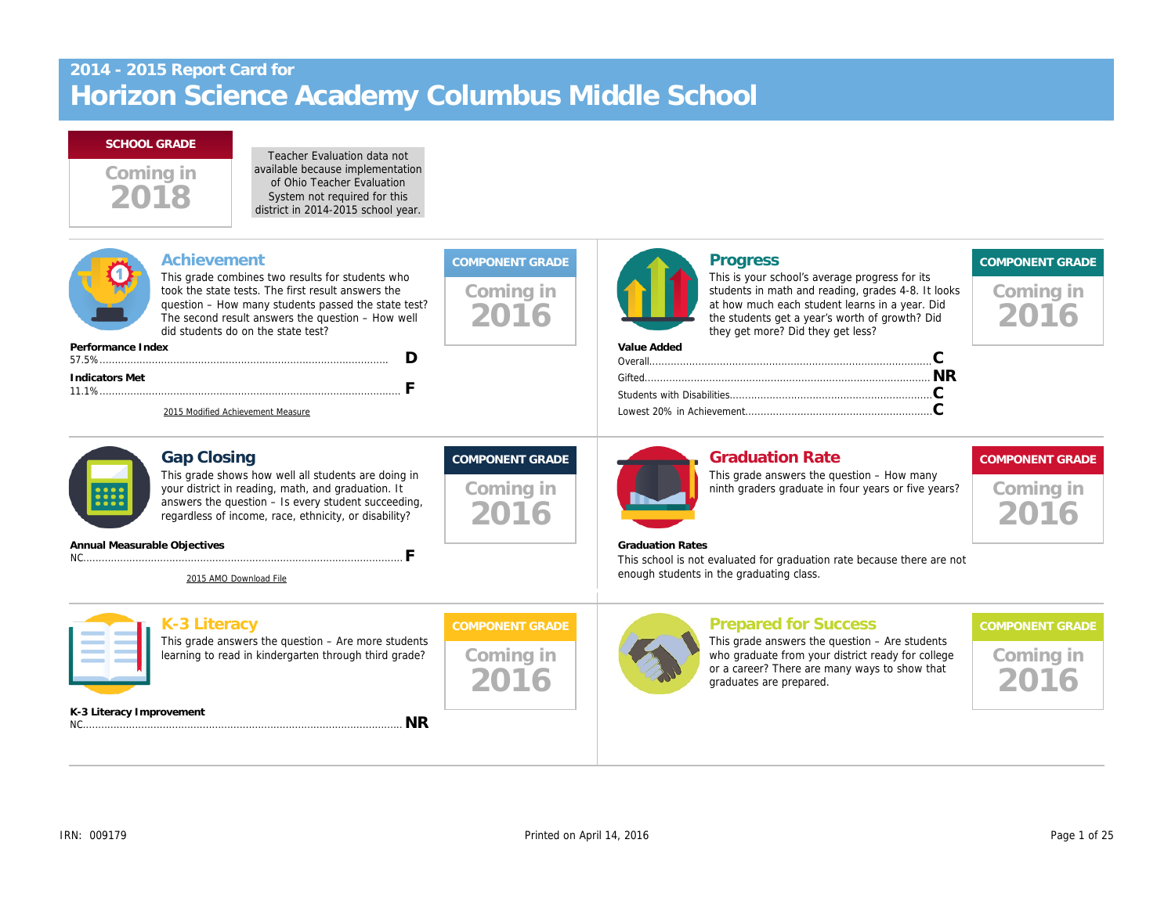Teacher Evaluation data not available because implementation of Ohio Teacher Evaluation

| UI VIIIU TUQUIUI LVAIUALIUI<br>System not required for this<br>district in 2014-2015 school year.                                                                                                                                                                                                                                                                           |                                             |                                                                                                                                                                                                                                                    |
|-----------------------------------------------------------------------------------------------------------------------------------------------------------------------------------------------------------------------------------------------------------------------------------------------------------------------------------------------------------------------------|---------------------------------------------|----------------------------------------------------------------------------------------------------------------------------------------------------------------------------------------------------------------------------------------------------|
| <b>Achievement</b><br>This grade combines two results for students who<br>took the state tests. The first result answers the<br>question - How many students passed the state test?<br>The second result answers the question - How well<br>did students do on the state test?<br>Performance Index<br>D<br><b>Indicators Met</b><br>F<br>2015 Modified Achievement Measure | Coming in<br>2016                           | <b>Progress</b><br>This is your school's average progress f<br>students in math and reading, grades 4-<br>at how much each student learns in a ye<br>the students get a year's worth of growtl<br>they get more? Did they get less?<br>Value Added |
| <b>Gap Closing</b><br>This grade shows how well all students are doing in<br>your district in reading, math, and graduation. It<br>answers the question - Is every student succeeding,<br>regardless of income, race, ethnicity, or disability?<br>Annual Measurable Objectives<br>F<br>2015 AMO Download File                                                              | <b>COMPONENT GRADE</b><br>Coming in<br>2016 | <b>Graduation Rate</b><br>This grade answers the question - How<br>ninth graders graduate in four years or f<br><b>Graduation Rates</b><br>This school is not evaluated for graduation rate because th<br>enough students in the graduating class. |
| <b>K-3 Literacy</b><br>This grade answers the question $-$ Are more students<br>learning to read in kindergarten through third grade?                                                                                                                                                                                                                                       | <b>COMPONENT GRADE</b><br>Coming in<br>2016 | <b>Prepared for Success</b><br>This grade answers the question $-$ Are $s$<br>who graduate from your district ready fo<br>or a career? There are many ways to sh<br>graduates are prepared.                                                        |
| K-3 Literacy Improvement<br><b>NR</b>                                                                                                                                                                                                                                                                                                                                       |                                             |                                                                                                                                                                                                                                                    |
|                                                                                                                                                                                                                                                                                                                                                                             |                                             |                                                                                                                                                                                                                                                    |

Coming in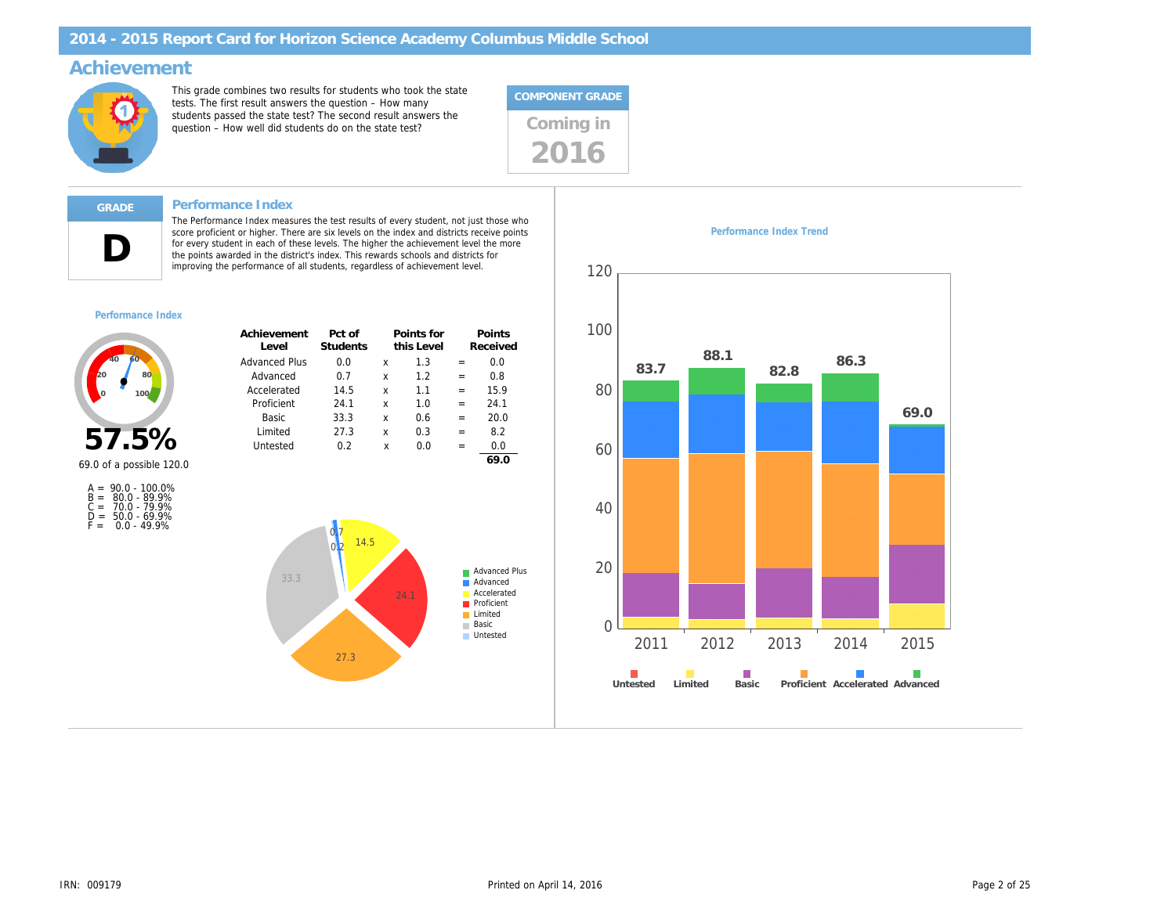### Achievement

This grade combines two results for students who took the state tests. The first result answers the question – How many students passed the state test? The second result answers the students passed the state test? The second result answers the  $q$ uestion – How well did students do on the state test?



#### Performance Index

The Performance Index measures the test results of every student, not just those who score proficient or higher. There are six levels on the index and districts receive points<br>for every student in each of these levels. The higher the achievement level the more<br>the points awarded in the district's index. Th improving the performance of all students, regardless of achievement level.

#### Performance Index

D

| Achievement<br>Level | Pct of<br><b>Students</b> |   | Points for<br>this Level |     | Points<br>Received |
|----------------------|---------------------------|---|--------------------------|-----|--------------------|
| Advanced Plus        | 0.0                       | x | 1.3                      | $=$ | 0.0                |
| Advanced             | 0.7                       | x | 1.2                      | $=$ | 0.8                |
| Accelerated          | 14.5                      | x | 11                       | $=$ | 15.9               |
| Proficient           | 24.1                      | x | 1.0                      | $=$ | 24.1               |
| Basic                | 33.3                      | x | 0.6                      | $=$ | 20.0               |
| Limited              | 27.3                      | x | 0.3                      | $=$ | 8.2                |
| Untested             | 0.2                       | x | 0.0                      |     | 0.0                |
|                      |                           |   |                          |     | 69.0               |



|       | $A = 90.0 - 100.0\%$ |
|-------|----------------------|
|       | $B = 80.0 - 89.9%$   |
| $C =$ | 70.0 - 79.9%         |
| D =   | $50.0 - 69.9%$       |
| F =   | $0.0 - 49.9%$        |

Performance Index Trend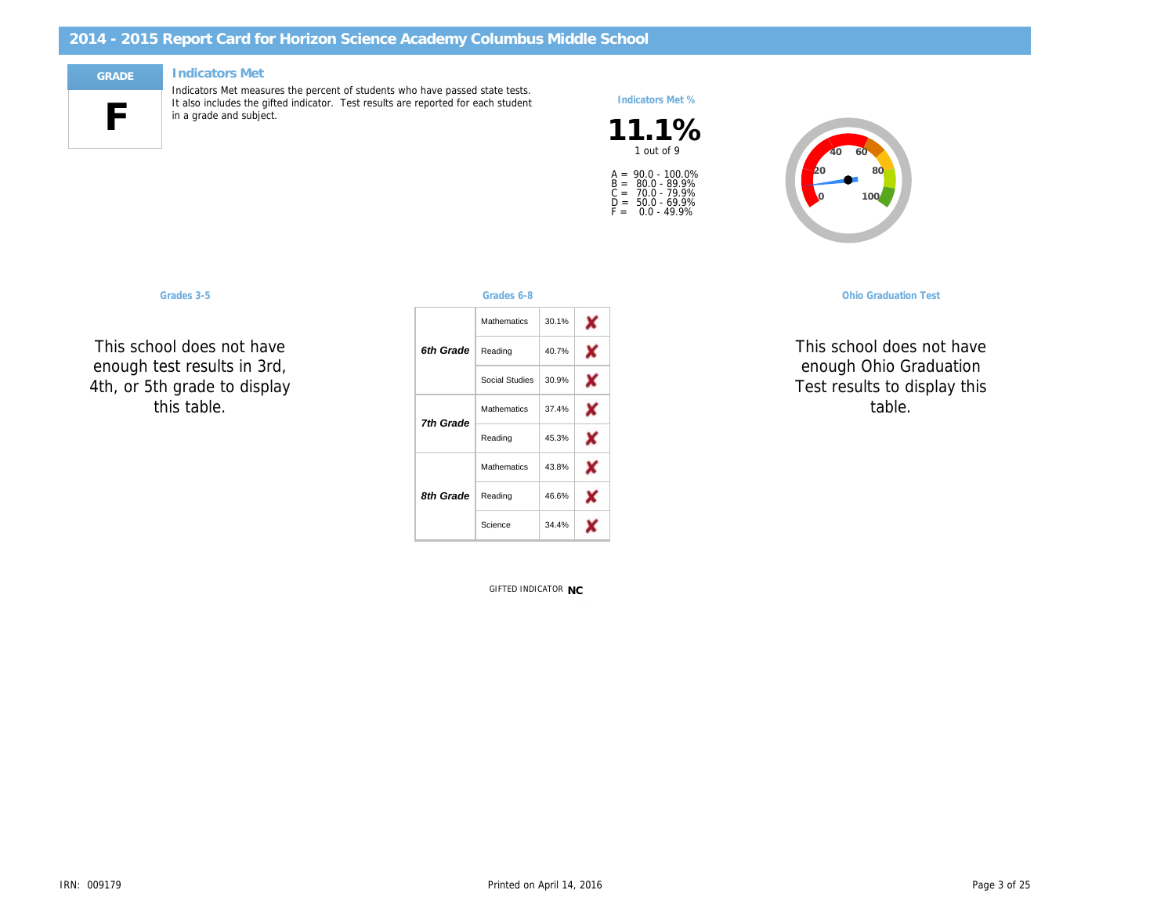#### Indicators Met



Indicators Met measures the percent of students who have passed state tests. It also includes the gifted indicator. Test results are reported for each student in a grade and subject.

#### Indicators Met %

 $11.1\%$ A =<br>B =<br>C =<br>D =<br>F = 90.0 - 100.0% 80.0 - 89.9% 70.0 - 79.9% 50.0 - 69.9% 0.0 - 49.9%

This school does not have enough test results in 3rd, 4th, or 5th grade to display this table.

| Grades 3-5                                |           | Grades 6-8         |       |  |               | <b>Ohio Graduati</b> |
|-------------------------------------------|-----------|--------------------|-------|--|---------------|----------------------|
|                                           |           | Mathematics        | 30.1% |  |               |                      |
| ool does not have                         | 6th Grade | Reading            | 40.7% |  | enough Ohio G | This school doe      |
| est results in 3rd,<br>n grade to display |           | Social Studies     | 30.9% |  |               | Test results to d    |
| his table.                                | 7th Grade | Mathematics        | 37.4% |  |               | table                |
|                                           |           | Reading            | 45.3% |  |               |                      |
|                                           |           | <b>Mathematics</b> | 43.8% |  |               |                      |
|                                           | 8th Grade | Reading            | 46.6% |  |               |                      |
|                                           |           | Science            | 34.4% |  |               |                      |
|                                           |           |                    |       |  |               |                      |

GIFTED INDICATOR NC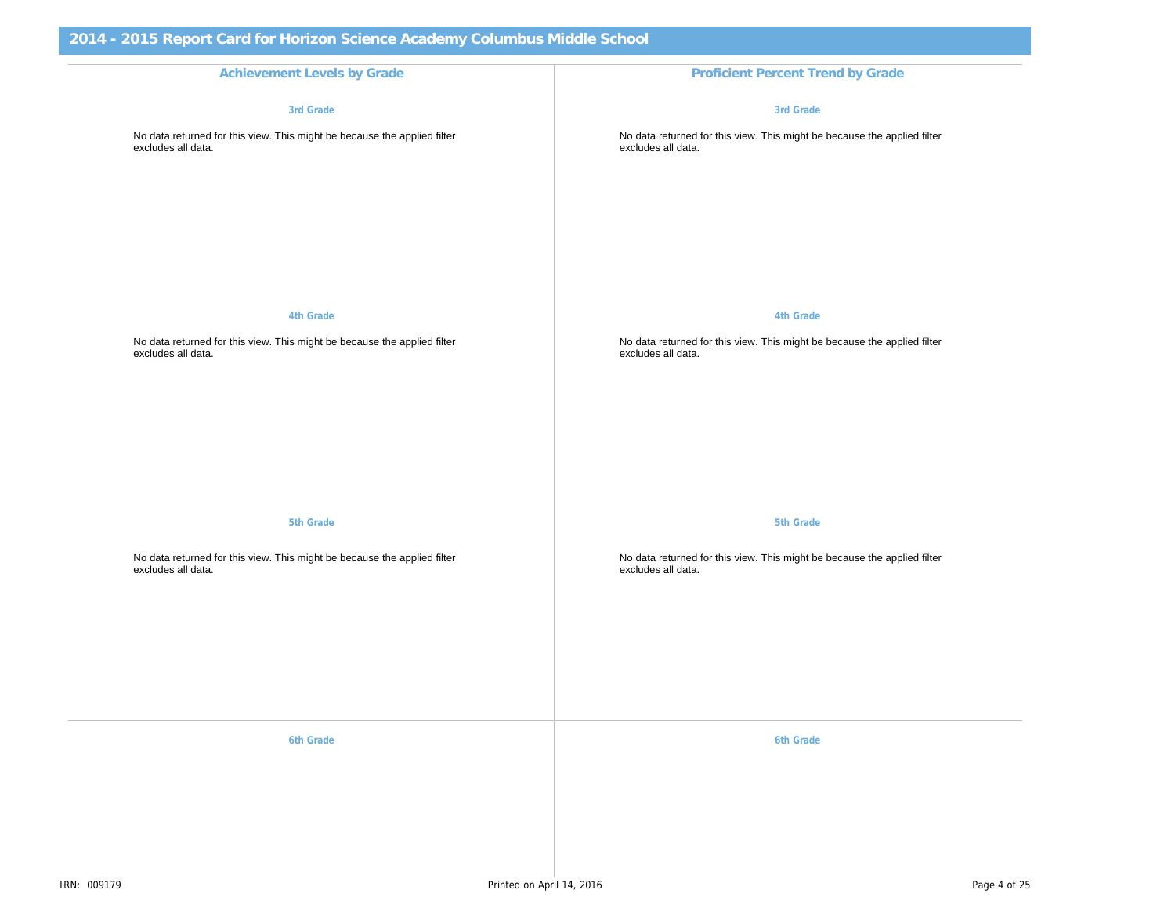Achievement Levels by Grade **Proficient Percent Trend by Grade** Proficient Percent Trend by Grade 3rd Grade

No data returned for this view. This might be because the applied filter excludes all data.

4th Grade

No data returned for this view. This might be because the applied filter excludes all data.

5th Grade

No data returned for this view. This might be because the applied filter excludes all data.

6th Grade 6th Grade 6th Grade 6th Grade 6th Grade 6th Grade 6th Grade 6th Grade 6th Grade 6th Grade 6th Grade

3rd Grade

No data returned for this view. This might be because the appli excludes all data.

4th Grade

No data returned for this view. This might be because the appli excludes all data.

5th Grade

No data returned for this view. This might be because the appli excludes all data.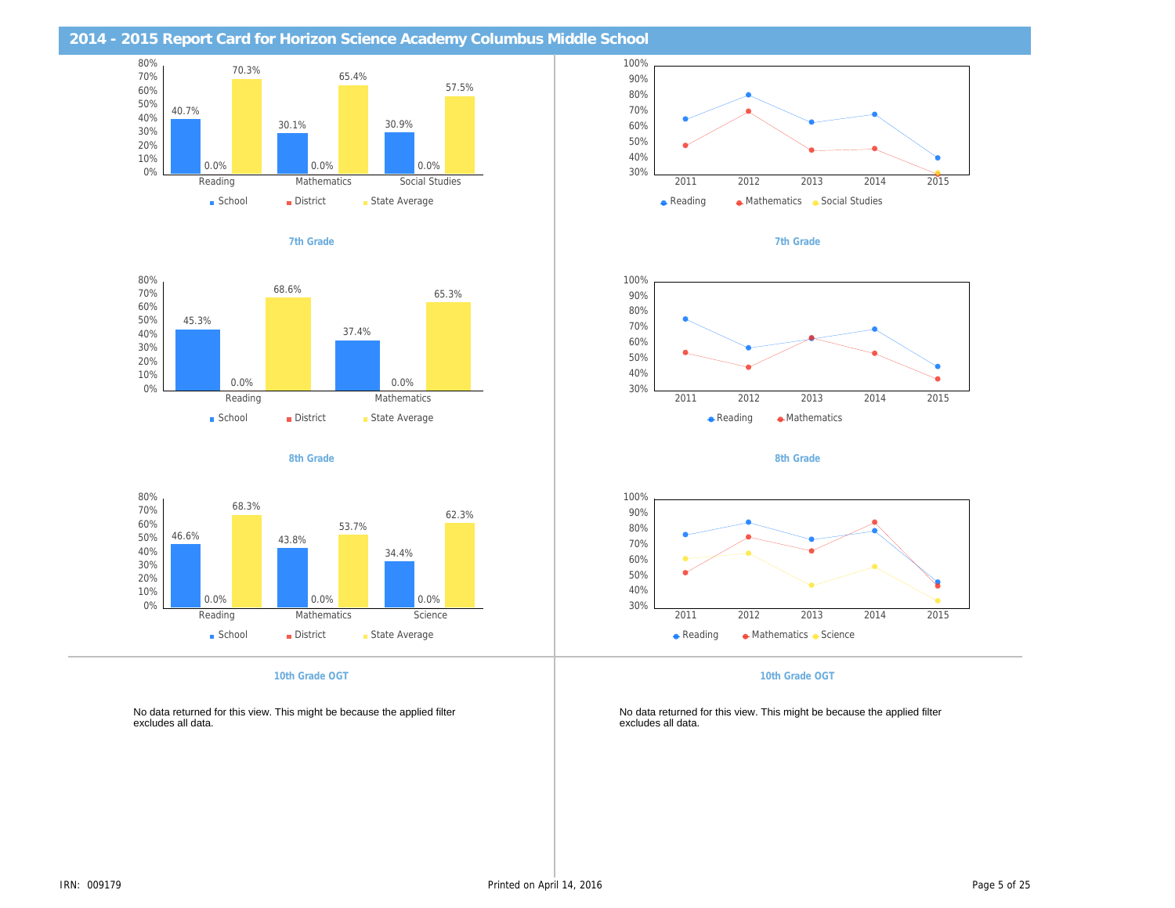| 2014 - 2015 Report Card for Horizon Science Academy Columbus Middle School                     |                                                                                       |
|------------------------------------------------------------------------------------------------|---------------------------------------------------------------------------------------|
|                                                                                                |                                                                                       |
|                                                                                                |                                                                                       |
| 7th Grade                                                                                      | 7th Grade                                                                             |
|                                                                                                |                                                                                       |
|                                                                                                |                                                                                       |
|                                                                                                |                                                                                       |
| 8th Grade                                                                                      | 8th Grade                                                                             |
|                                                                                                |                                                                                       |
|                                                                                                |                                                                                       |
| 10th Grade OGT                                                                                 | 10th Grade OGT                                                                        |
| No data returned for this view. This might be because the applied filter<br>excludes all data. | No data returned for this view. This might be because the appli<br>excludes all data. |
|                                                                                                |                                                                                       |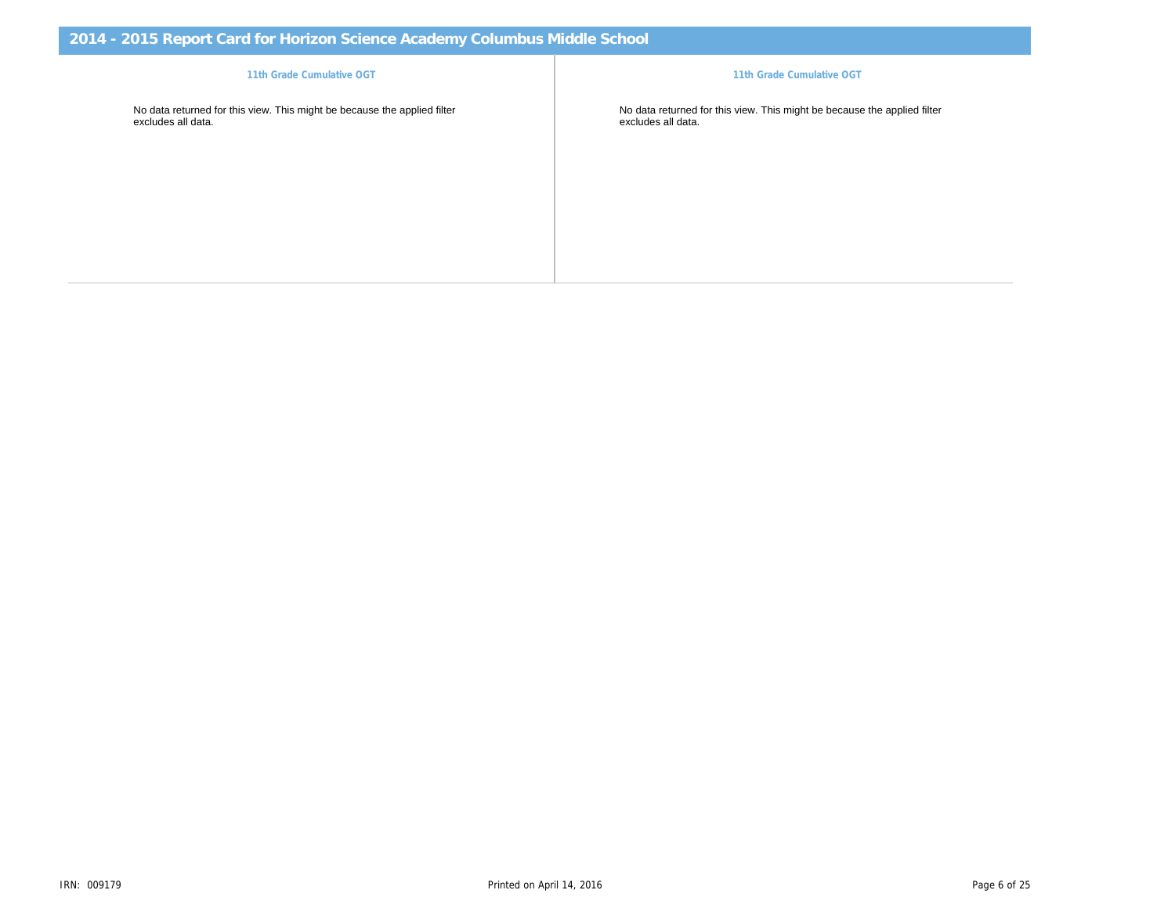11th Grade Cumulative OGT No data returned for this view. This might be because the applied filter excludes all data. No data returned for this view. This might be because the appli<br>excludes all data. 11th Grade Cumulative OGT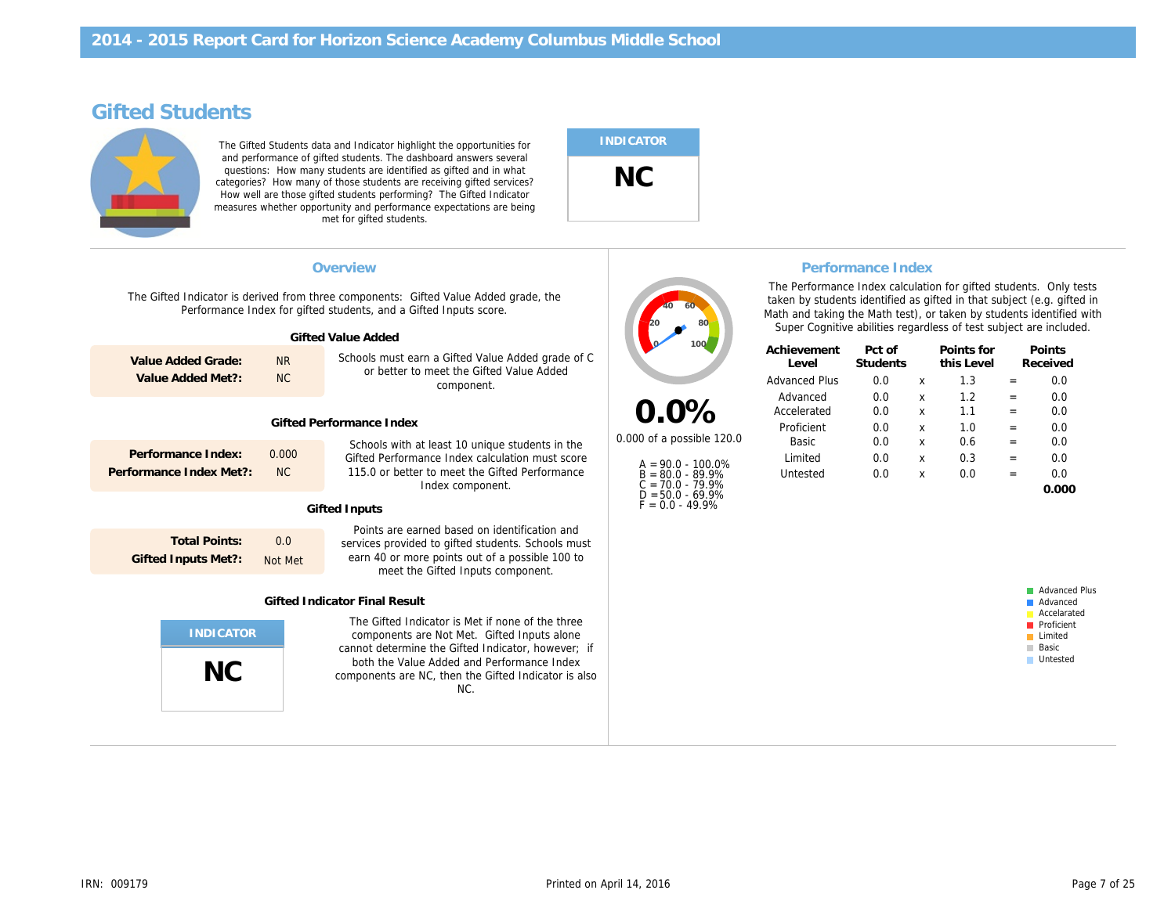# Gifted Students

The Gifted Students data and Indicator highlight the opportunities for and performance of gifted students. The dashboard answers several questions: How many students are identified as gifted and in what categories? How many of those students are receiving gifted services? How well are those gifted students performing? The Gifted Indicator measures whether opportunity and performance expectations are being met for gifted students.

# INDICATOR NC

The Gifted Indicator is derived from three components: Gifted Value Added grade, the Performance Index for gifted students, and a Gifted Inputs score. Gifted Value Added Schools must earn a Gifted Value Added grade of C or better to meet the Gifted Value Added component. Gifted Performance Index Schools with at least 10 unique students in the Gifted Performance Index calculation must score 115.0 or better to meet the Gifted Performance Index component. Gifted Inputs Points are earned based on identification and services provided to gifted students. Schools must earn 40 or more points out of a possible 100 to meet the Gifted Inputs component. Gifted Indicator Final Result The Gifted Indicator is Met if none of the three components are Not Met. Gifted Inputs alone cannot determine the Gifted Indicator, however; if both the Value Added and Performance Index components are NC, then the Gifted Indicator is also NC. NC Total Points: Gifted Inputs Met?: 0.0 Not Met Performance Index: 0.000 Performance Index Met?: NC Value Added Grade: Value Added Met?: NR NC Overview **Performance Index Performance Index Performance Index** 0.0% 0.000 of a possible 120.0 A = 90.0 - 100.0% B = 80.0 - 89.9% C = 70.0 - 79.9% D = 50.0 - 69.9% F = 0.0 - 49.9% Achievement Level Pct of **Students** Advanced Plus 0.0 Advanced 0.0 Accelerated 0.0 Proficient 0.0 Basic 0.0 Limited 0.0 Untested 0.0 The Performance Index cald taken by students identified Math and taking the Math test Super Cognitive abilities re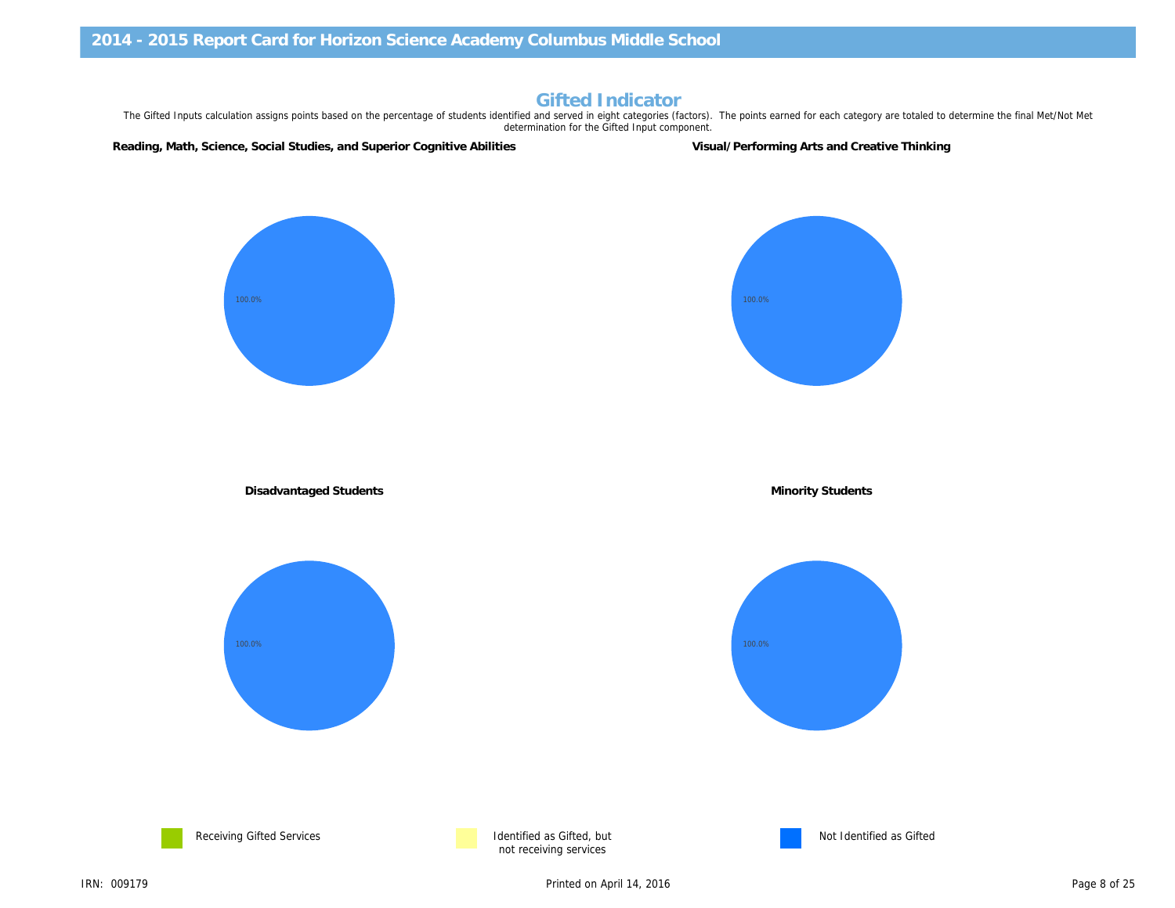# Gifted Indicator

The Gifted Inputs calculation assigns points based on the percentage of students identified and served in eight categories (factors). The points earned for each category are to determination for the Gifted Input component.

Reading, Math, Science, Social Studies, and Superior Cognitive Abilities Visual/Performing Arts and Creative Thinkin

Disadvantaged Students **Minority Students** Minority Students





not receiving services

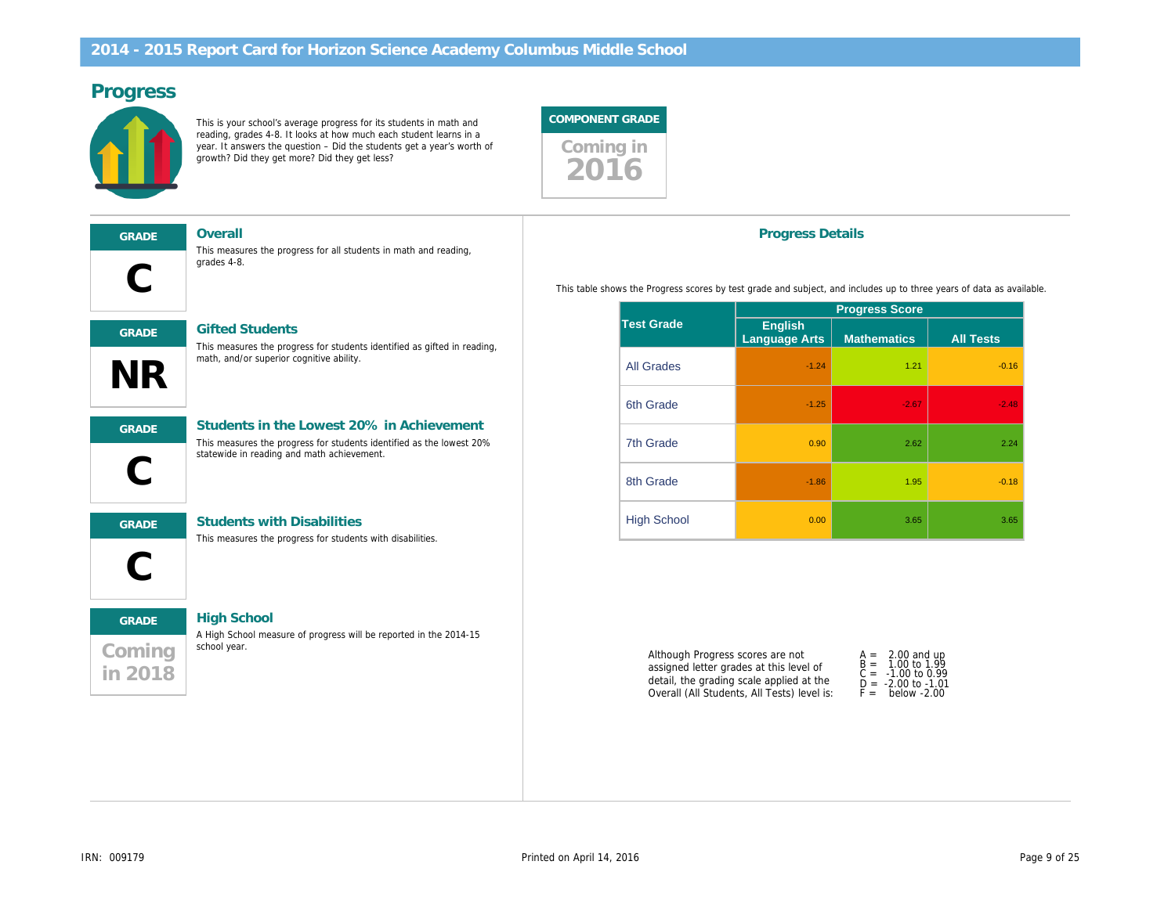# Progress

This is your school's average progress for its students in math and reading, grades 4-8. It looks at how much each student learns in a year. It answers the question – Did the students get a year's worth of growth? Did they get more? Did they get less?





This measures the progress for all students in math and reading, grades 4-8.



#### GRADE Gifted Students

This measures the progress for students identified as gifted in reading, math, and/or superior cognitive ability.

l,

# GRADE Students in the Lowest 20% in Achievement

This measures the progress for students identified as the lowest 20% statewide in reading and math achievement.



GRADE Students with Disabilities

This measures the progress for students with disabilities.

# Coming in 2018

GRADE High School A High School measure of progress will be reported in the 2014-15 school year.

Progress Details

This table shows the Progress scores by test grade and subject, and includes up to

|                    |                          | <b>Progress Scor</b> |
|--------------------|--------------------------|----------------------|
| <b>Test Grade</b>  | English<br>Language Arts | <b>Mathematics</b>   |
| <b>All Grades</b>  | $-1.24$                  |                      |
| 6th Grade          | $-1.25$                  |                      |
| 7th Grade          | 0.90                     |                      |
| 8th Grade          | $-1.86$                  |                      |
| <b>High School</b> | 0.00                     |                      |

Although Progress scores are not assigned letter grades at this level of detail, the grading scale applied at the Overall (All Students, All Tests) level is:

|             | A<br>$=$<br>$B =$<br>C =<br>D = | 2.00<br>1.00<br>$-1.00$<br>$-2.00$ |  |
|-------------|---------------------------------|------------------------------------|--|
| F =<br>bela |                                 |                                    |  |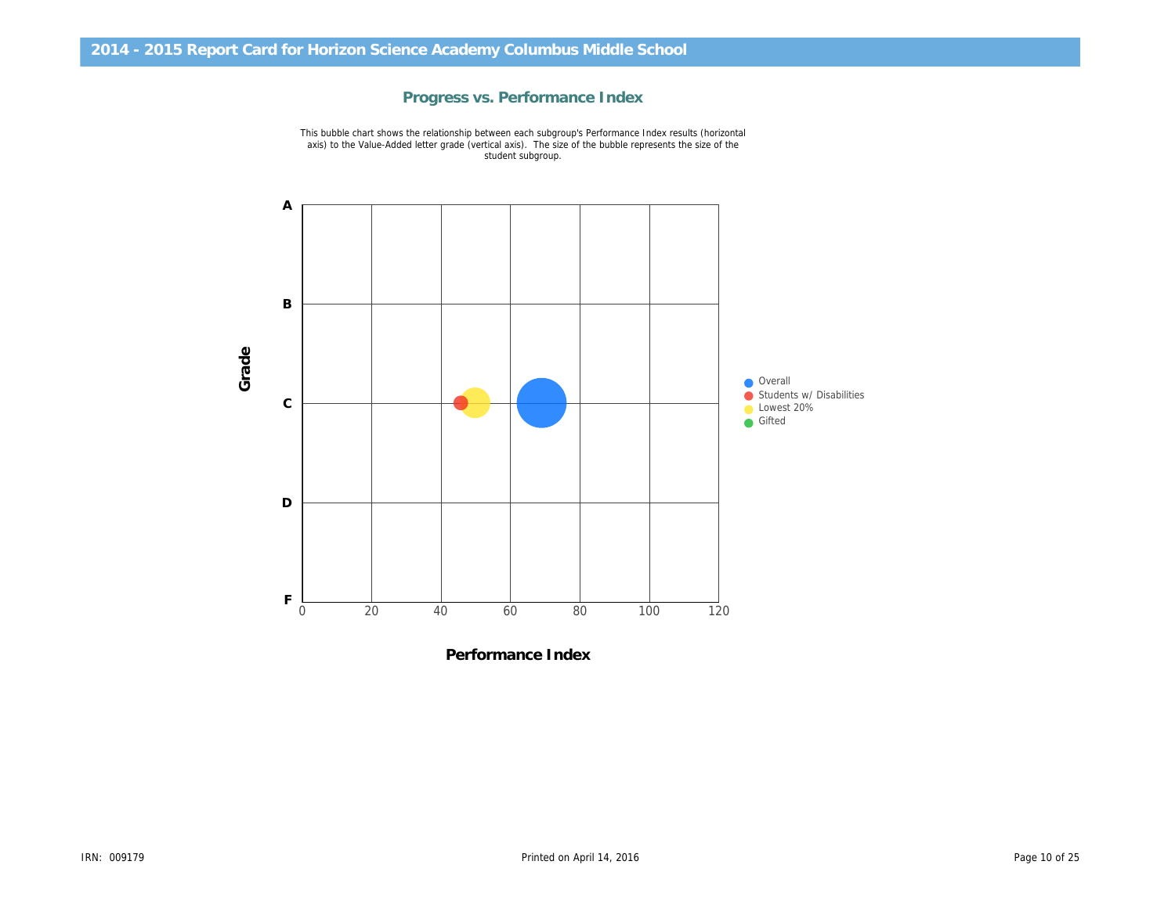

Progress vs. Performance Index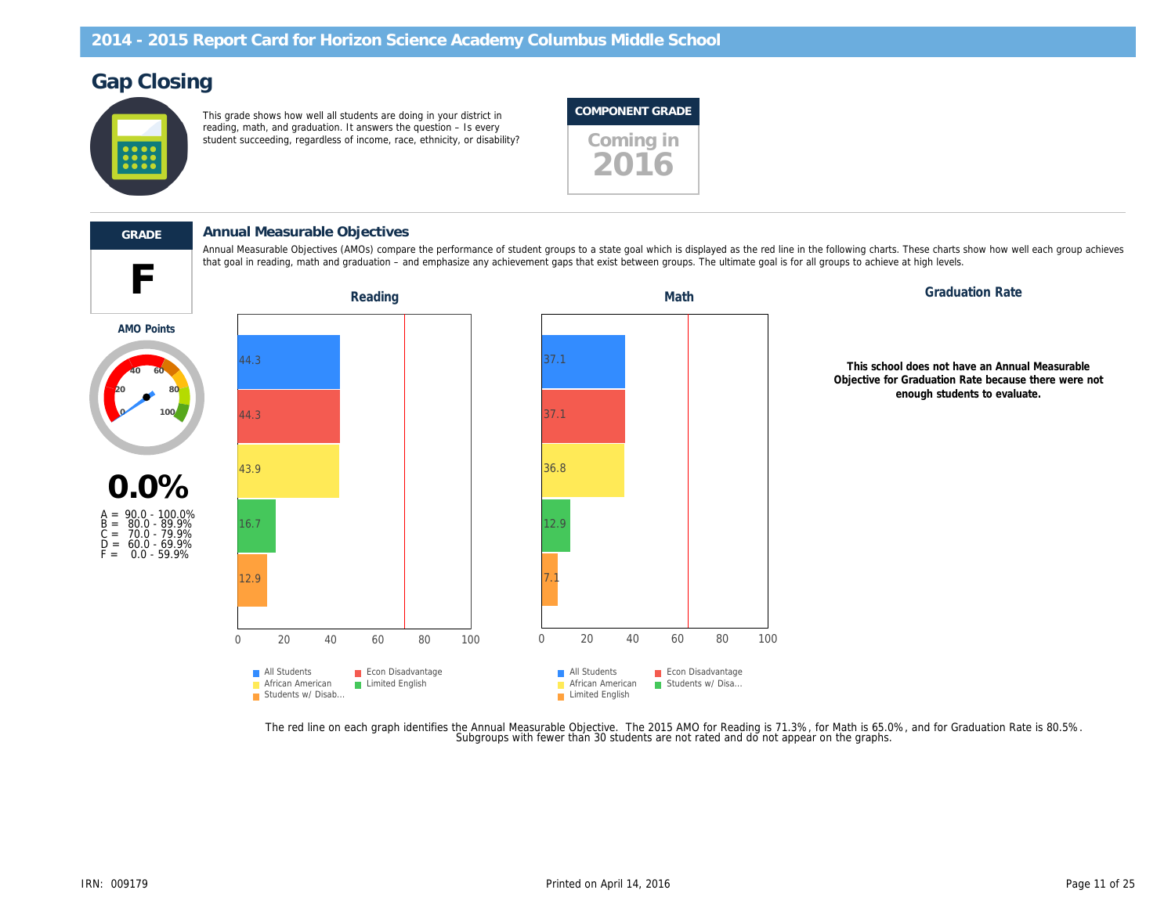# Gap Closing

This grade shows how well all students are doing in your district in reading, math, and graduation. It answers the question – Is every student succeeding, regardless of income, race, ethnicity, or disability? Coming in

### COMPONENT GRADE





AMO Points

#### GRADE Annual Measurable Objectives

Annual Measurable Objectives (AMOs) compare the performance of student groups to a state goal which is displayed as the red line in the following charts. T that goal in reading, math and graduation – and emphasize any achievement gaps that exist between groups. The ultimate goal is for all groups to achieve at

Reading **Math** Graduation Reading Math Graduation Math

This school Objective for G en



The red line on each graph identifies the Annual Measurable Objective. The 2015 AMO for Reading is 71.3%, for Math is 65.0%,<br>.Subgroups with fewer than 30 students are not rated and do not appear on the graphs.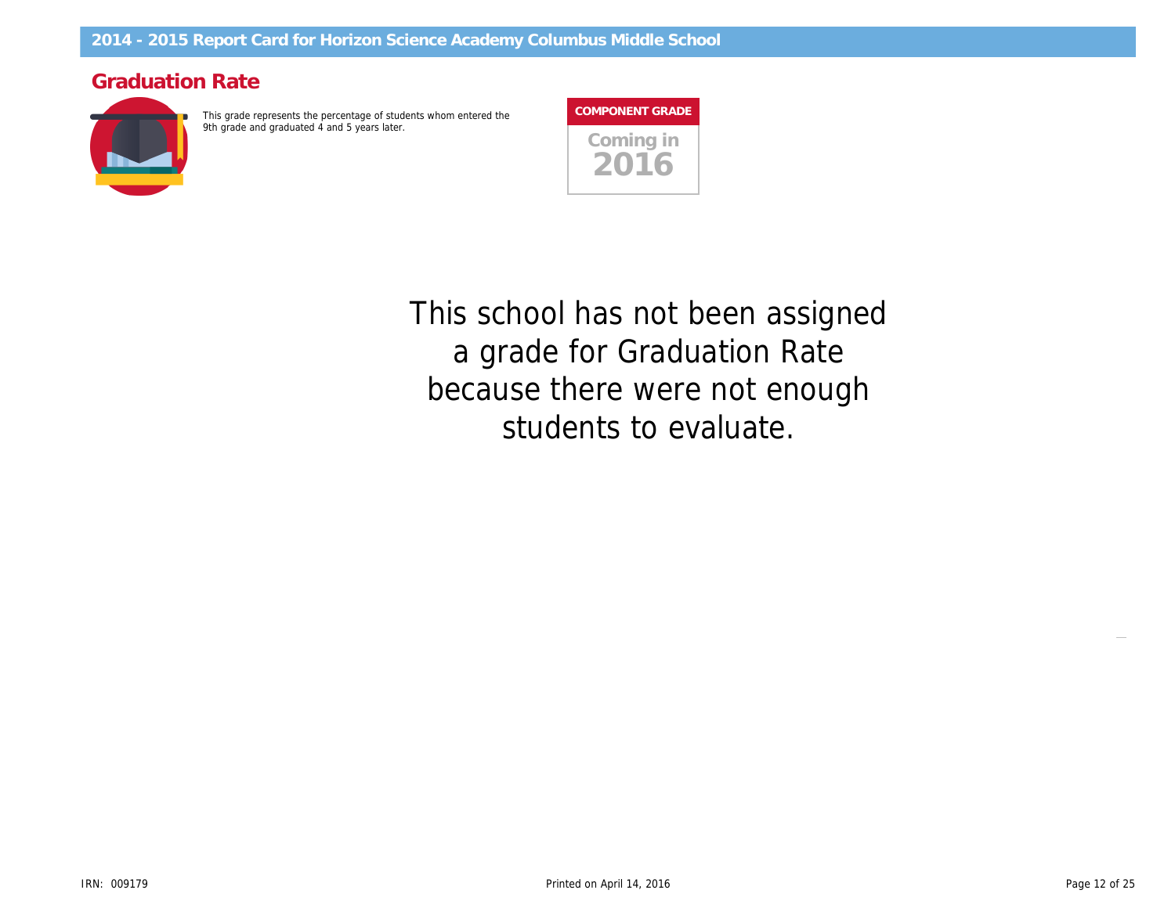# Graduation Rate

This grade represents the percentage of students whom entered the 9th grade and graduated 4 and 5 years later.



This school has not been assigned a grade for Graduation Rate because there were not enough students to evaluate.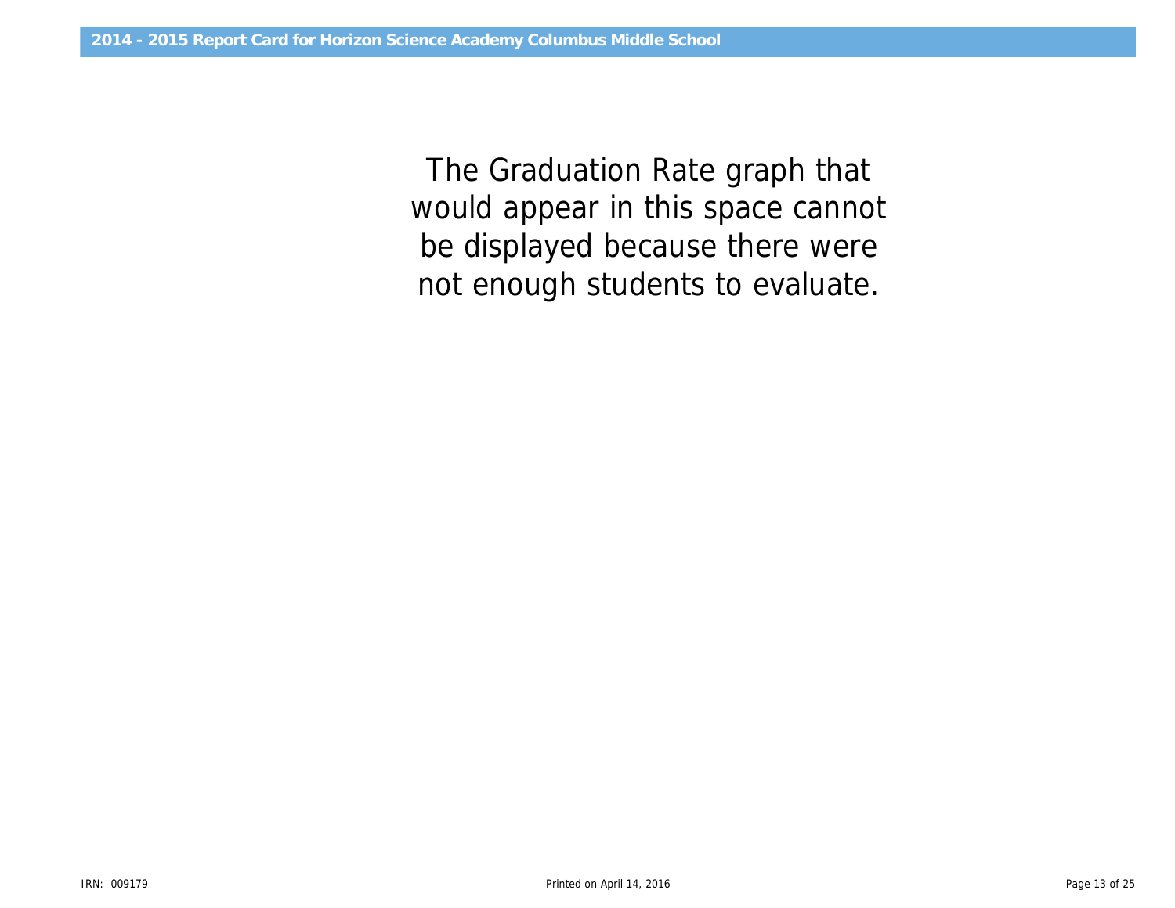would appear in this space cannot The Graduation Rate graph that be displayed because there were not enough students to evaluate.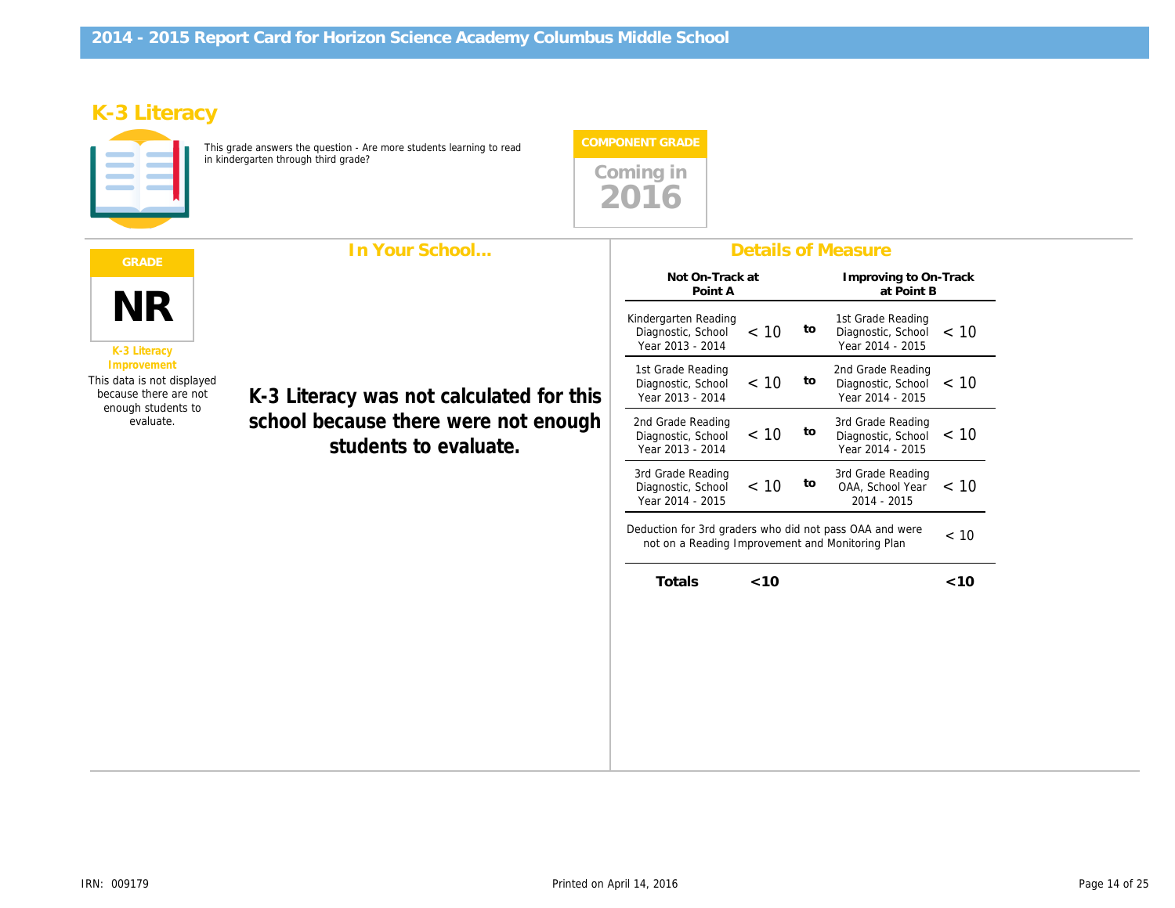# K-3 Literacy

This grade answers the question - Are more students learning to read in kindergarten through third grade?



|                                                                                                                                                                                                                                                 | In Your School                                                                                                                   | <b>Details of Measure</b>                            |
|-------------------------------------------------------------------------------------------------------------------------------------------------------------------------------------------------------------------------------------------------|----------------------------------------------------------------------------------------------------------------------------------|------------------------------------------------------|
|                                                                                                                                                                                                                                                 |                                                                                                                                  | Not On-Track at<br>Improving to<br>Point A<br>at Poi |
| <b>NR</b><br>K-3 Literacy<br>Improvement<br>This data is not displayed<br>because there are not<br>K-3 Literacy was not calculated for this<br>enough students to<br>school because there were not enough<br>evaluate.<br>students to evaluate. | Kindergarten Reading<br>1st Grade Rea<br>to<br>< 10<br>Diagnostic, School<br>Diagnostic, So<br>Year 2013 - 2014<br>Year 2014 - 2 |                                                      |
|                                                                                                                                                                                                                                                 | 2nd Grade Rea<br>1st Grade Reading<br>to<br>< 10<br>Diagnostic, School<br>Diagnostic, So<br>Year 2013 - 2014<br>Year 2014 - 2    |                                                      |
|                                                                                                                                                                                                                                                 | 2nd Grade Reading<br>3rd Grade Rea<br>< 10<br>to<br>Diagnostic, School<br>Diagnostic, So<br>Year 2013 - 2014<br>Year 2014 - 2    |                                                      |
|                                                                                                                                                                                                                                                 | 3rd Grade Rea<br>3rd Grade Reading<br>to<br>< 10<br>OAA, School<br>Diagnostic, School<br>Year 2014 - 2015<br>2014 - 201          |                                                      |
|                                                                                                                                                                                                                                                 | Deduction for 3rd graders who did not pass OAA and we<br>not on a Reading Improvement and Monitoring Plan                        |                                                      |
|                                                                                                                                                                                                                                                 | Totals<br>$<$ 10                                                                                                                 |                                                      |
|                                                                                                                                                                                                                                                 |                                                                                                                                  |                                                      |
|                                                                                                                                                                                                                                                 |                                                                                                                                  |                                                      |
|                                                                                                                                                                                                                                                 |                                                                                                                                  |                                                      |
|                                                                                                                                                                                                                                                 |                                                                                                                                  |                                                      |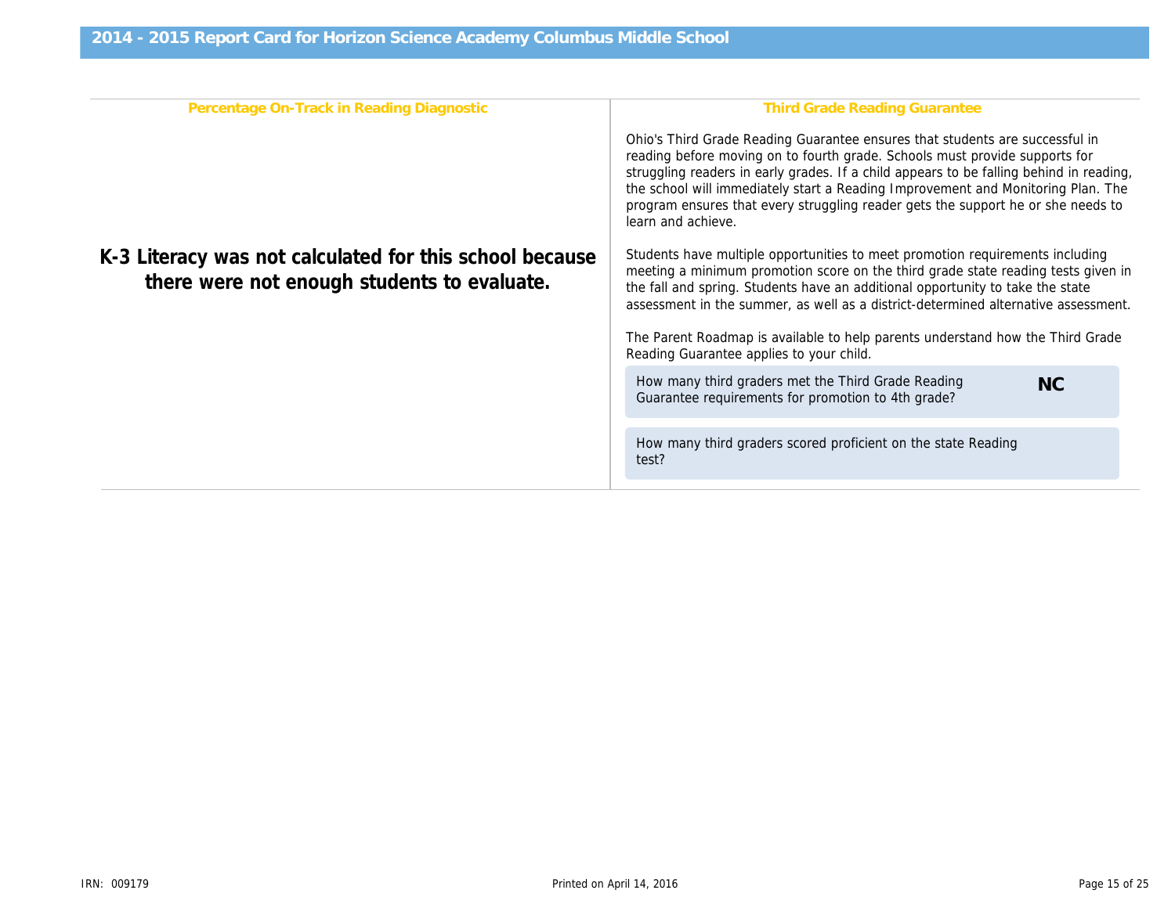| Percentage On-Track in Reading Diagnostic                                                              | Third Grade Reading Gr                                                                                                                                                                                                                                                        |
|--------------------------------------------------------------------------------------------------------|-------------------------------------------------------------------------------------------------------------------------------------------------------------------------------------------------------------------------------------------------------------------------------|
|                                                                                                        | Ohio's Third Grade Reading Guarantee ensure<br>reading before moving on to fourth grade. Scho<br>struggling readers in early grades. If a child ap<br>the school will immediately start a Reading Imp<br>program ensures that every struggling reader g<br>learn and achieve. |
| K-3 Literacy was not calculated for this school because<br>there were not enough students to evaluate. | Students have multiple opportunities to meet p<br>meeting a minimum promotion score on the thi<br>the fall and spring. Students have an additional<br>assessment in the summer, as well as a distric                                                                          |
|                                                                                                        | The Parent Roadmap is available to help parer<br>Reading Guarantee applies to your child.                                                                                                                                                                                     |
|                                                                                                        | How many third graders met the Third Grade<br>Guarantee requirements for promotion to 4th                                                                                                                                                                                     |
|                                                                                                        | How many third graders scored proficient on<br>test?                                                                                                                                                                                                                          |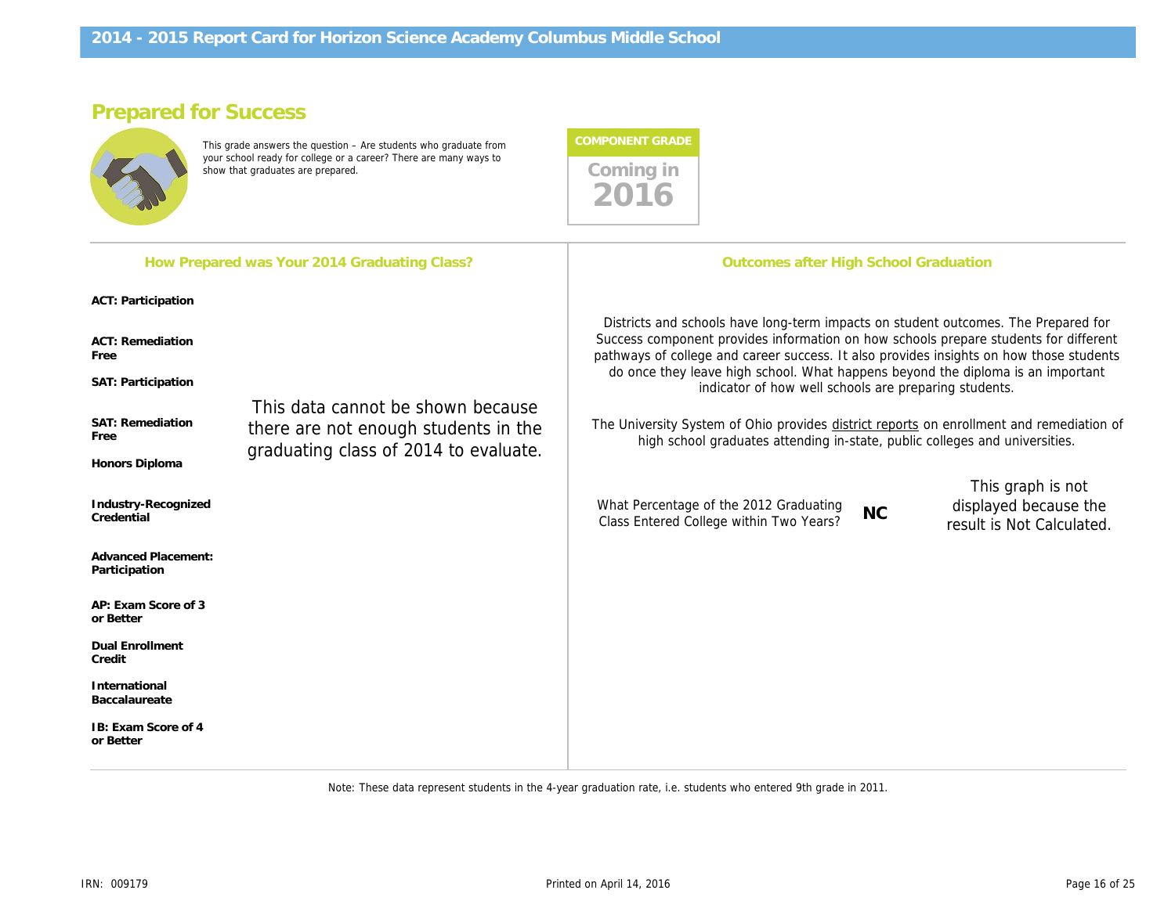# Prepared for Success

This grade answers the question – Are students who graduate from your school ready for college or a career? There are many ways to show that graduates are prepared. These are mainly ways to comming in



Note: These data represent students in the 4-year graduation rate, i.e. students who entered 9th grade in 2011.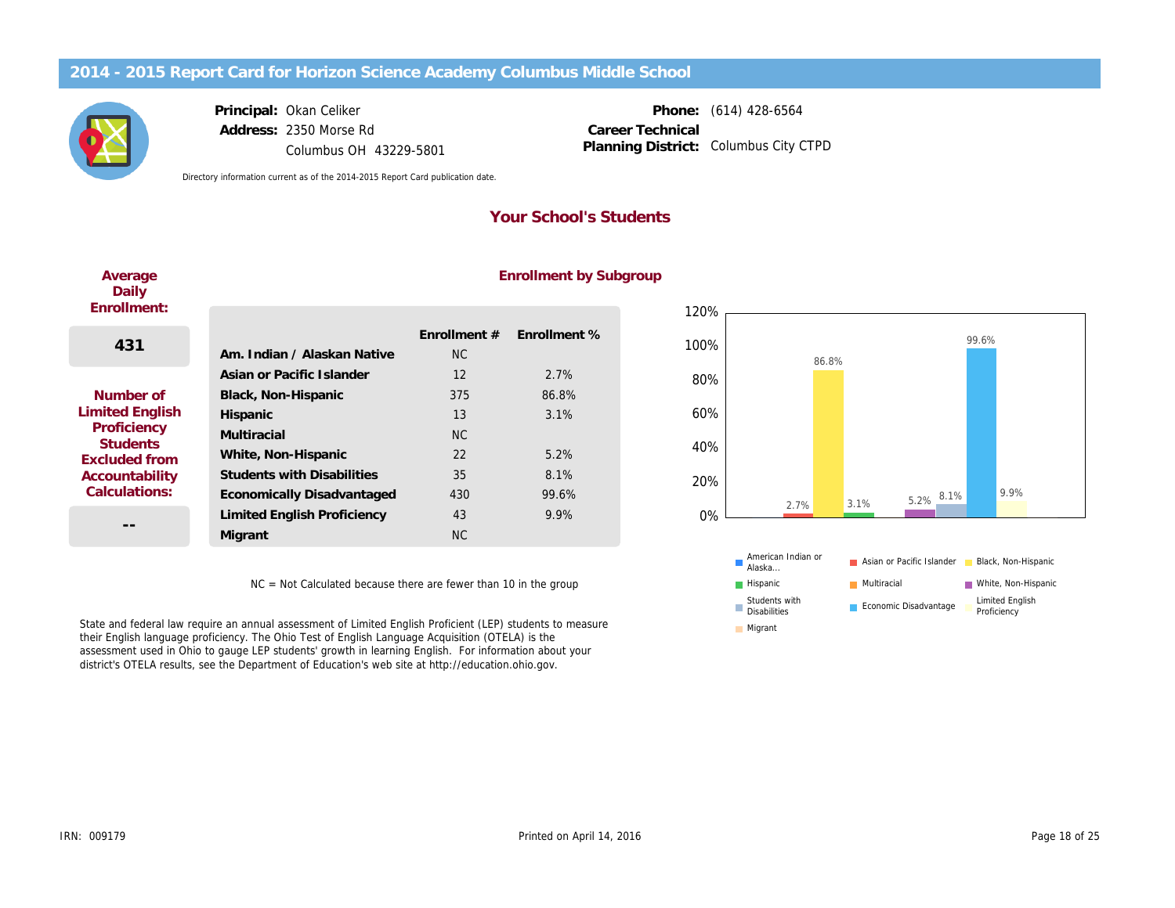Principal: Address: Okan Celiker 2350 Morse Rd Columbus OH 43229-5801

Phone: (614) 428-6564 Columbus City CTPD Career Technical Planning District:

Directory information current as of the 2014-2015 Report Card publication date.

## Your School's Students

| Average<br>Daily<br>Enrollment: |                                    |                           | Enrollment by S |
|---------------------------------|------------------------------------|---------------------------|-----------------|
| 431                             | Am. Indian / Alaskan Native        | Enrollment #<br><b>NC</b> | Enrollment %    |
|                                 | Asian or Pacific Islander          | 12                        | 2.7%            |
| Number of                       | Black, Non-Hispanic                | 375                       | 86.8%           |
| <b>Limited English</b>          | Hispanic                           | 13                        | 3.1%            |
| Proficiency<br><b>Students</b>  | Multiracial                        | N <sub>C</sub>            |                 |
| <b>Excluded from</b>            | White, Non-Hispanic                | 22                        | 5.2%            |
| Accountability                  | <b>Students with Disabilities</b>  | 35                        | 8.1%            |
| Calculations:                   | Economically Disadvantaged         | 430                       | 99.6%           |
|                                 | <b>Limited English Proficiency</b> | 43                        | 9.9%            |
| --                              | Migrant                            | <b>NC</b>                 |                 |
|                                 |                                    |                           |                 |

# Enrollment by Subgroup

NC = Not Calculated because there are fewer than 10 in the group

State and federal law require an annual assessment of Limited English Proficient (LEP) students to measure their English language proficiency. The Ohio Test of English Language Acquisition (OTELA) is the assessment used in Ohio to gauge LEP students' growth in learning English. For information about your district's OTELA results, see the Department of Education's web site at http://education.ohio.gov.

 $\Delta$ verage and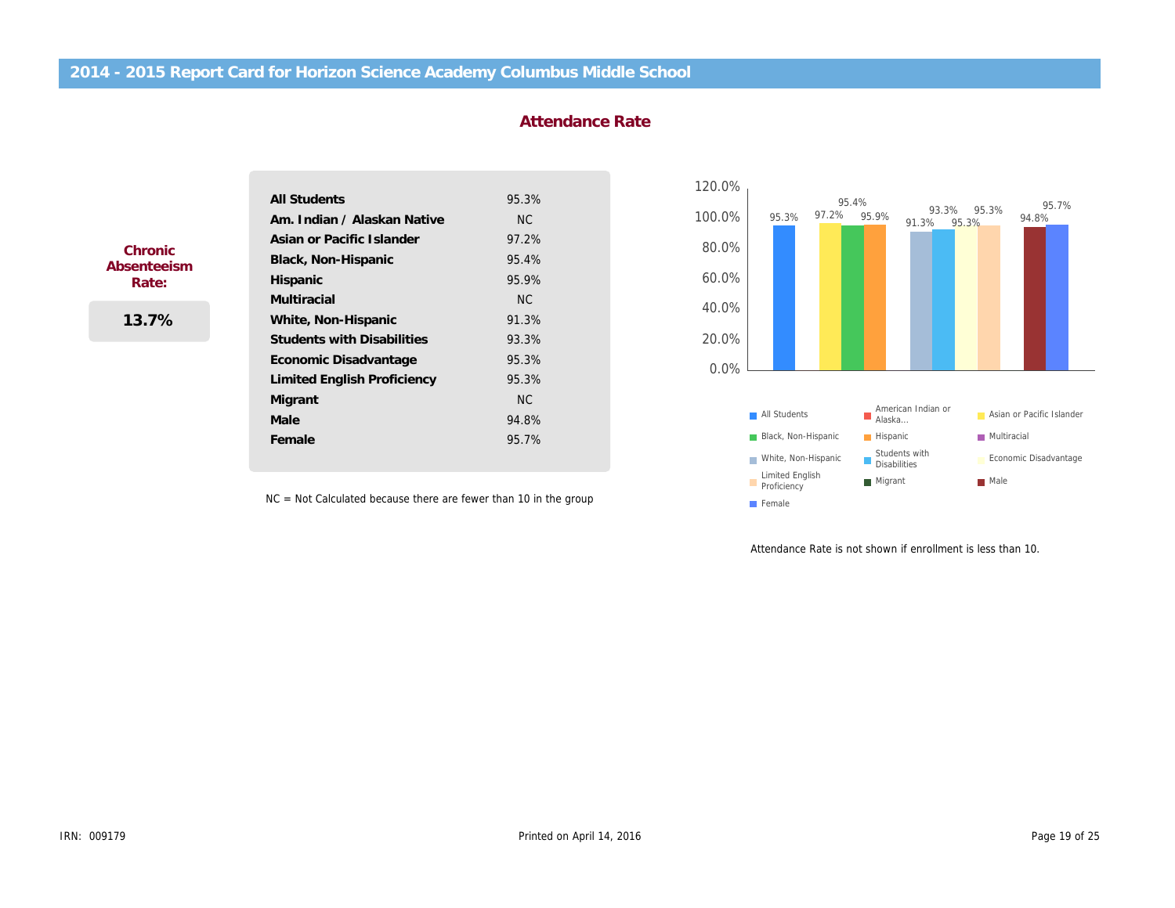#### Attendance Rate

|             | <b>All Students</b>                | 95.3%     |
|-------------|------------------------------------|-----------|
|             | Am. Indian / Alaskan Native        | <b>NC</b> |
| Chronic     | Asian or Pacific Islander          | 97.2%     |
| Absenteeism | Black, Non-Hispanic                | 95.4%     |
| Rate:       | Hispanic                           | 95.9%     |
|             | <b>Multiracial</b>                 | NC.       |
| 13.7%       | White, Non-Hispanic                | 91.3%     |
|             | <b>Students with Disabilities</b>  | 93.3%     |
|             | Economic Disadvantage              | 95.3%     |
|             | <b>Limited English Proficiency</b> | 95.3%     |
|             | Migrant                            | <b>NC</b> |
|             | Male                               | 94.8%     |
|             | Female                             | 95.7%     |

NC = Not Calculated because there are fewer than 10 in the group

Attendance Rate is not shown if

ļ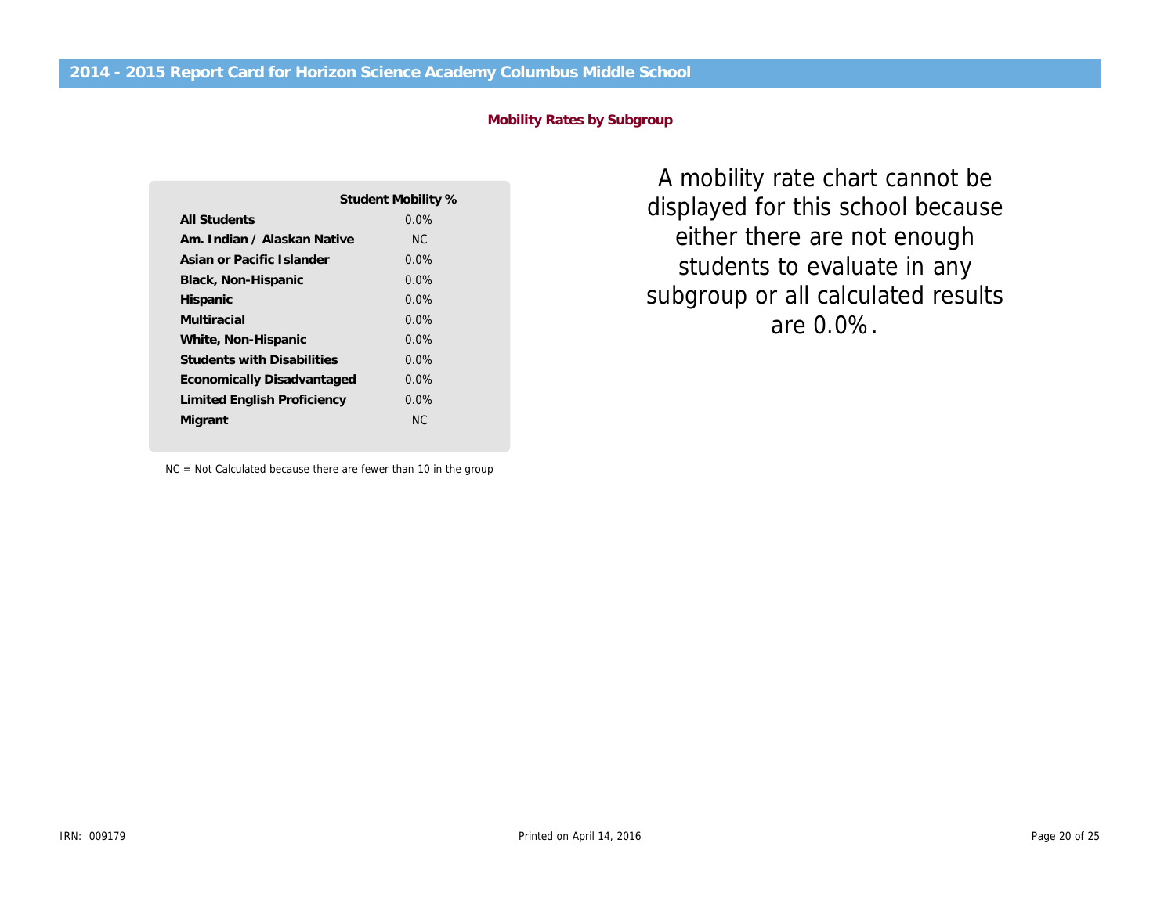#### Mobility Rates by Subgroup

|                                   | Student Mobility % |
|-----------------------------------|--------------------|
| All Students                      | $0.0\%$            |
| Am. Indian / Alaskan Native       | NC.                |
| Asian or Pacific Islander         | $0.0\%$            |
| Black, Non-Hispanic               | $0.0\%$            |
| Hispanic                          | $0.0\%$            |
| Multiracial                       | $0.0\%$            |
| White, Non-Hispanic               | $0.0\%$            |
| <b>Students with Disabilities</b> | $0.0\%$            |
| Economically Disadvantaged        | $0.0\%$            |
| Limited English Proficiency       | $0.0\%$            |
| Migrant                           | NC.                |

A mobility rate chart ca displayed for this school either there are not en students to evaluate i subgroup or all calculate are 0.0%.

NC = Not Calculated because there are fewer than 10 in the group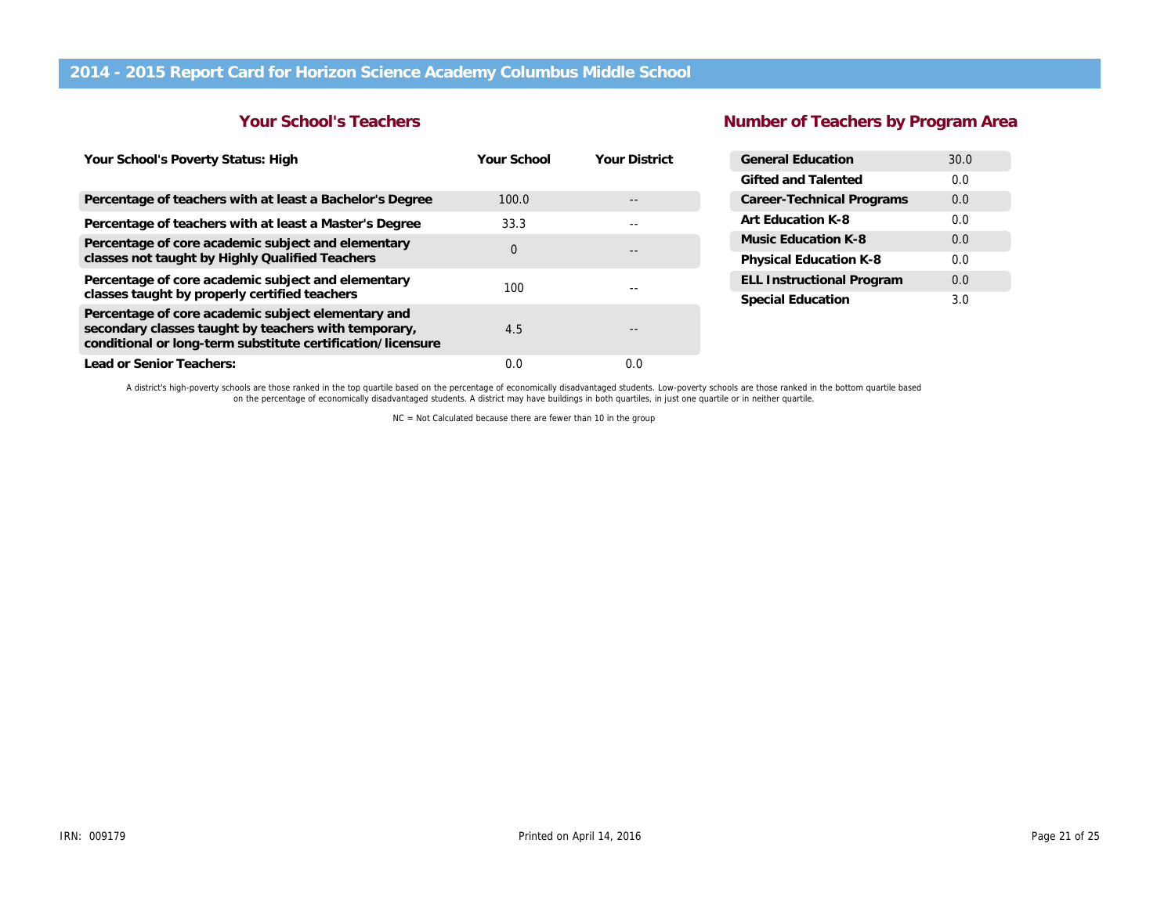### Your School's Teachers

# Number of Teachers by Pr

| Your School's Poverty Status: High                                                                                                                                        | Your School | <b>Your District</b>                        | <b>General Education</b>         |  |
|---------------------------------------------------------------------------------------------------------------------------------------------------------------------------|-------------|---------------------------------------------|----------------------------------|--|
|                                                                                                                                                                           |             |                                             | Gifted and Talented              |  |
| Percentage of teachers with at least a Bachelor's Degree                                                                                                                  | 100.0       |                                             | <b>Career-Technical Programs</b> |  |
| Percentage of teachers with at least a Master's Degree                                                                                                                    | 33.3        | $- -$                                       | Art Education K-8                |  |
| Percentage of core academic subject and elementary                                                                                                                        |             | $\mathbf 0$<br>$\qquad \qquad \blacksquare$ | Music Education K-8              |  |
| classes not taught by Highly Qualified Teachers                                                                                                                           |             |                                             | Physical Education K-8           |  |
| Percentage of core academic subject and elementary                                                                                                                        | 100         | $- -$                                       | <b>ELL Instructional Program</b> |  |
| classes taught by properly certified teachers                                                                                                                             |             |                                             | Special Education                |  |
| Percentage of core academic subject elementary and<br>secondary classes taught by teachers with temporary,<br>conditional or long-term substitute certification/licensure | 4.5         | $\qquad \qquad \blacksquare$                |                                  |  |
| Lead or Senior Teachers:                                                                                                                                                  | 0.0         | 0.0                                         |                                  |  |

A district's high-poverty schools are those ranked in the top quartile based on the percentage of economically disadvantaged students. Low-poverty schools are those ranked in the bottom quartile bas<br>on the percentage of ec

NC = Not Calculated because there are fewer than 10 in the group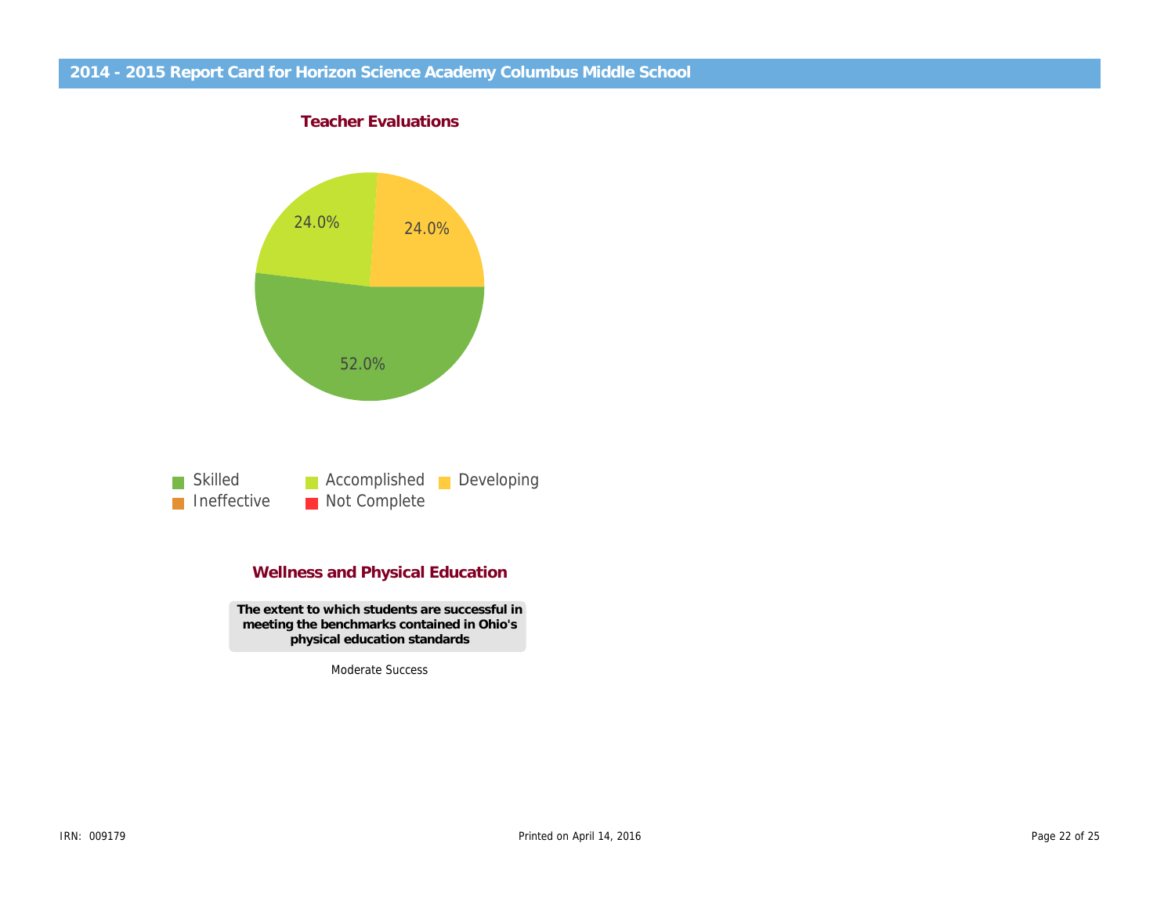Teacher Evaluations

### Wellness and Physical Education

The extent to which students are successful in meeting the benchmarks contained in Ohio's physical education standards

Moderate Success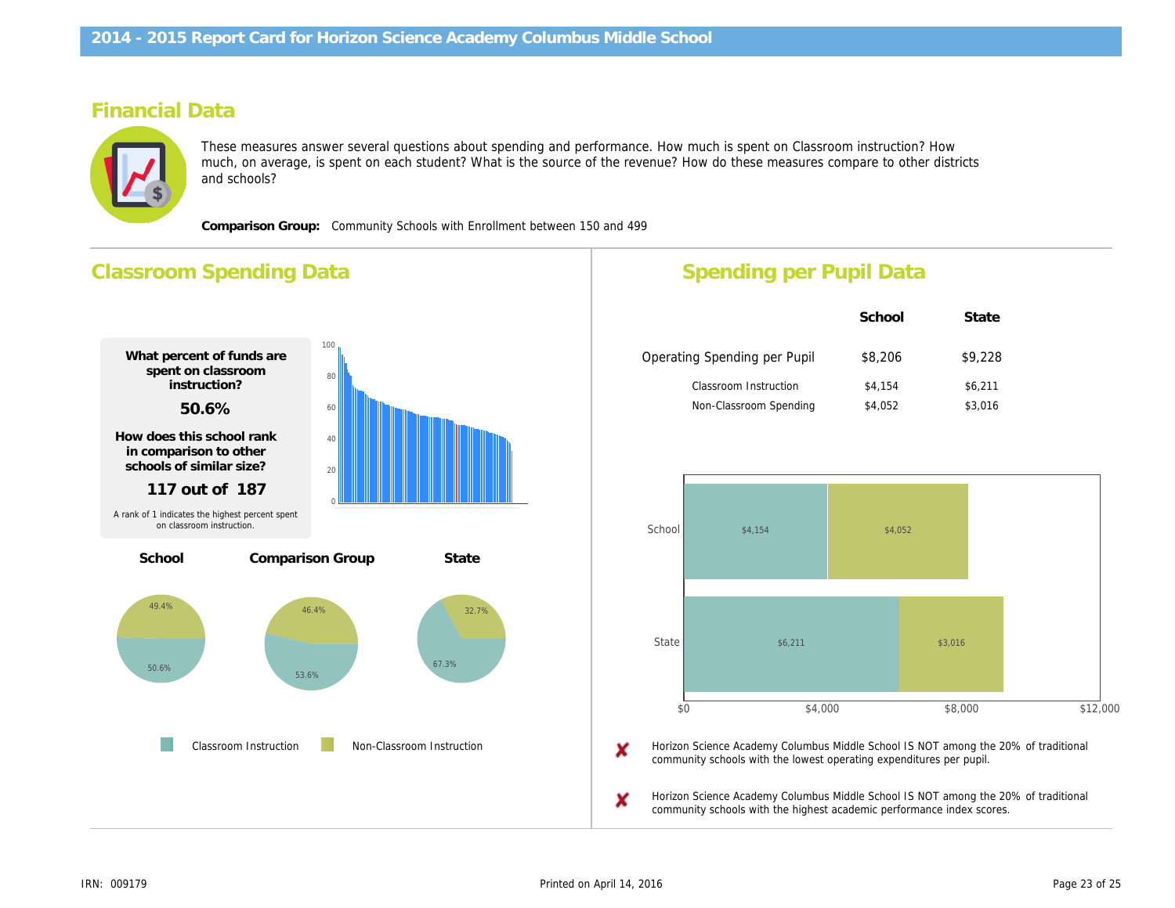# Financial Data

These measures answer several questions about spending and performance. How much is spent on Classroom instruct much, on average, is spent on each student? What is the source of the revenue? How do these measures compare to o and schools?

Comparison Group: Community Schools with Enrollment between 150 and 499

# Classroom Spending Data What percent of funds are spent on classroom instruction? 50.6% How does this school rank in comparison to other schools of similar size? 117 out of 187 Percentage Spent for Non-Classroom Instruction 49.4% Rank in comparison group for highest % spent 68 out of 187 School Comparison Group State Classroom Instruction Non-Classroom Instruction A rank of 1 indicates the highest percent spent on classroom instruction. Spending per Pupil Data School Operating Spending per Pupil \$8,206 Classroom Instruction \$4,154 Non-Classroom Spending \$4,052 Horizon Science Academy Columbus Middle School community schools with the lowest operating expend Horizon Science Academy Columbus Middle School community schools with the highest academic perfo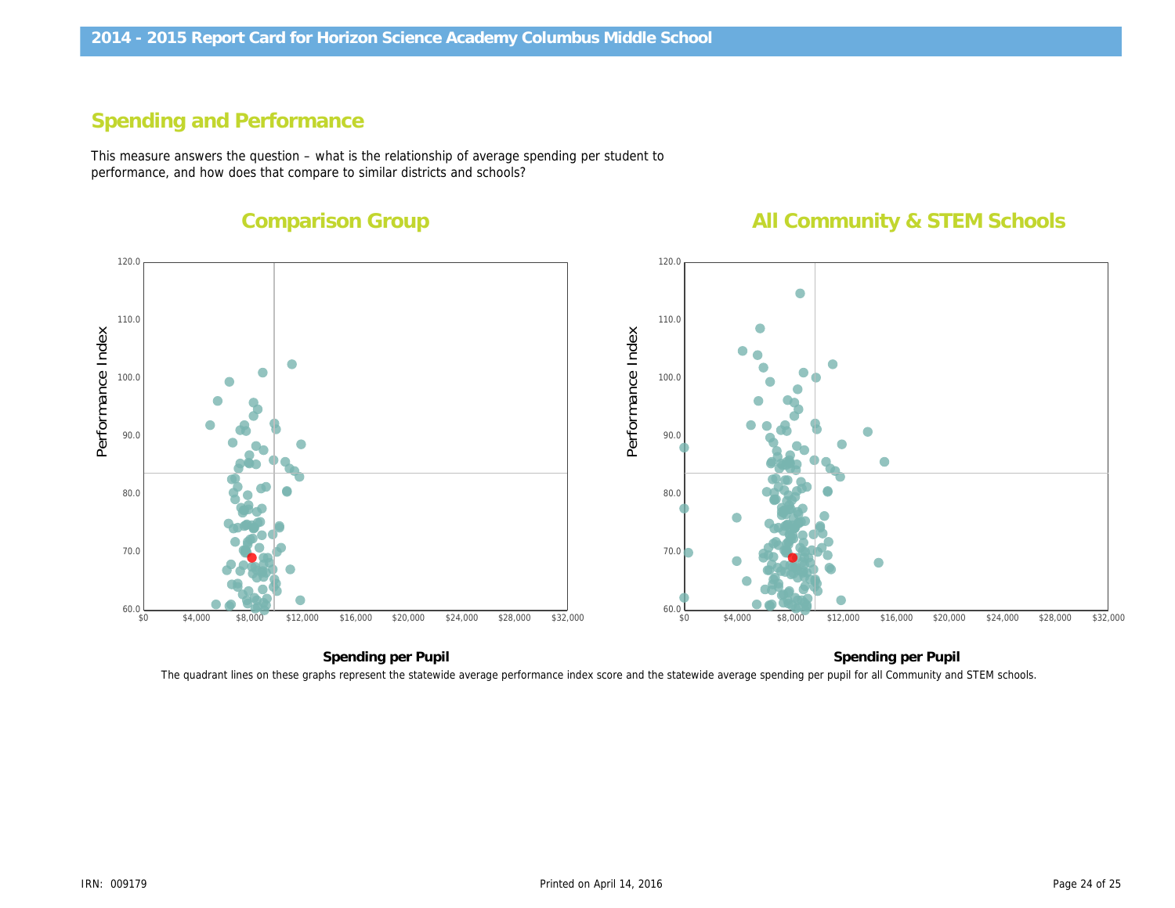# Spending and Performance

This measure answers the question – what is the relationship of average spending per student to performance, and how does that compare to similar districts and schools?

Comparison Group

All Community &

Performance Index Performance Index

Spending per Pupil Spending pe The quadrant lines on these graphs represent the statewide average performance index score and the statewide average spending per pupil for all Com